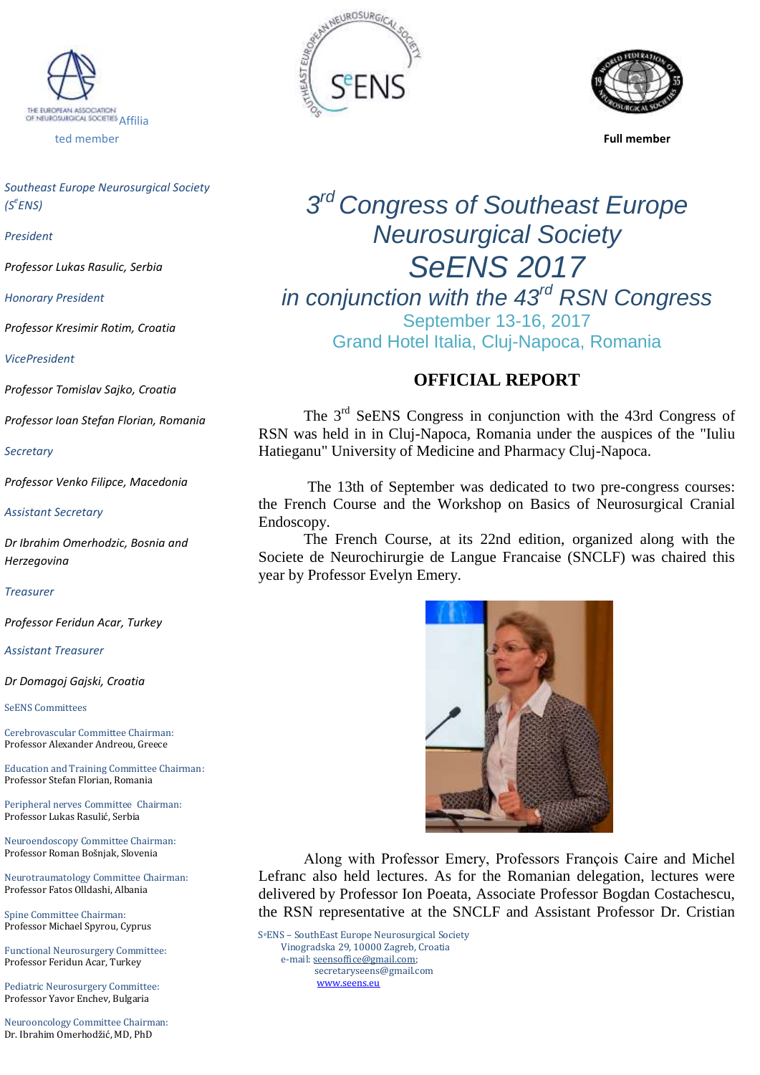

*Southeast Europe Neurosurgical Society (Se ENS)*

*President*

*Professor Lukas Rasulic, Serbia*

*Honorary President*

*Professor Kresimir Rotim, Croatia*

*VicePresident*

*Professor Tomislav Sajko, Croatia*

*Professor Ioan Stefan Florian, Romania*

*Secretary*

*Professor Venko Filipce, Macedonia*

*Assistant Secretary*

*Dr Ibrahim Omerhodzic, Bosnia and Herzegovina*

*Treasurer*

*Professor Feridun Acar, Turkey*

*Assistant Treasurer*

*Dr Domagoj Gajski, Croatia*

SeENS Committees

Cerebrovascular Committee Chairman: Professor Alexander Andreou, Greece

Education and Training Committee Chairman: Professor Stefan Florian, Romania

Peripheral nerves Committee Chairman: Professor Lukas Rasulić, Serbia

Neuroendoscopy Committee Chairman: Professor Roman Bošnjak, Slovenia

Neurotraumatology Committee Chairman: Professor Fatos Olldashi, Albania

Spine Committee Chairman: Professor Michael Spyrou, Cyprus

Functional Neurosurgery Committee: Professor Feridun Acar, Turkey

Pediatric Neurosurgery Committee: Professor Yavor Enchev, Bulgaria

Neurooncology Committee Chairman: Dr. Ibrahim Omerhodžić, MD, PhD





ted member **Full member**

## *3 rd Congress of Southeast Europe Neurosurgical Society SeENS 2017 in conjunction with the 43rd RSN Congress* September 13-16, 2017

Grand Hotel Italia, Cluj-Napoca, Romania

## **OFFICIAL REPORT**

The  $3<sup>rd</sup>$  SeENS Congress in conjunction with the 43rd Congress of RSN was held in in Cluj-Napoca, Romania under the auspices of the "Iuliu Hatieganu" University of Medicine and Pharmacy Cluj-Napoca.

The 13th of September was dedicated to two pre-congress courses: the French Course and the Workshop on Basics of Neurosurgical Cranial Endoscopy.

The French Course, at its 22nd edition, organized along with the Societe de Neurochirurgie de Langue Francaise (SNCLF) was chaired this year by Professor Evelyn Emery.



Along with Professor Emery, Professors François Caire and Michel Lefranc also held lectures. As for the Romanian delegation, lectures were delivered by Professor Ion Poeata, Associate Professor Bogdan Costachescu, the RSN representative at the SNCLF and Assistant Professor Dr. Cristian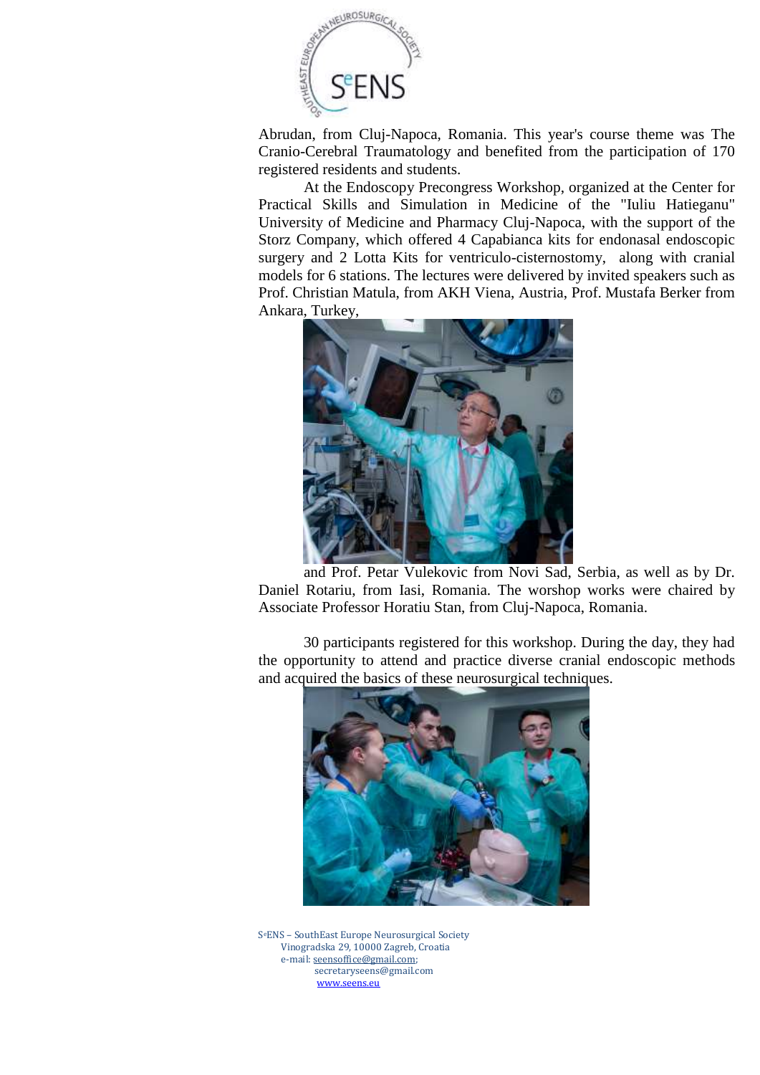

Abrudan, from Cluj-Napoca, Romania. This year's course theme was The Cranio-Cerebral Traumatology and benefited from the participation of 170 registered residents and students.

At the Endoscopy Precongress Workshop, organized at the Center for Practical Skills and Simulation in Medicine of the "Iuliu Hatieganu" University of Medicine and Pharmacy Cluj-Napoca, with the support of the Storz Company, which offered 4 Capabianca kits for endonasal endoscopic surgery and 2 Lotta Kits for ventriculo-cisternostomy, along with cranial models for 6 stations. The lectures were delivered by invited speakers such as Prof. Christian Matula, from AKH Viena, Austria, Prof. Mustafa Berker from Ankara, Turkey,



and Prof. Petar Vulekovic from Novi Sad, Serbia, as well as by Dr. Daniel Rotariu, from Iasi, Romania. The worshop works were chaired by Associate Professor Horatiu Stan, from Cluj-Napoca, Romania.

30 participants registered for this workshop. During the day, they had the opportunity to attend and practice diverse cranial endoscopic methods and acquired the basics of these neurosurgical techniques.

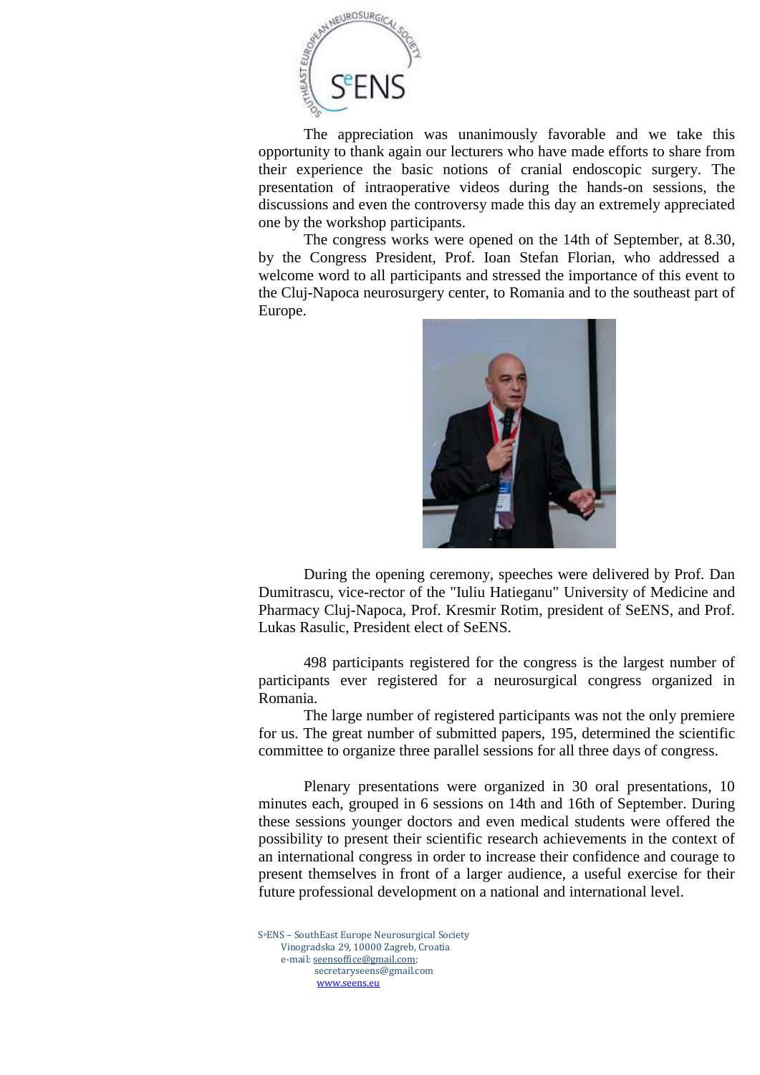

The appreciation was unanimously favorable and we take this opportunity to thank again our lecturers who have made efforts to share from their experience the basic notions of cranial endoscopic surgery. The presentation of intraoperative videos during the hands-on sessions, the discussions and even the controversy made this day an extremely appreciated one by the workshop participants.

The congress works were opened on the 14th of September, at 8.30, by the Congress President, Prof. Ioan Stefan Florian, who addressed a welcome word to all participants and stressed the importance of this event to the Cluj-Napoca neurosurgery center, to Romania and to the southeast part of Europe.



During the opening ceremony, speeches were delivered by Prof. Dan Dumitrascu, vice-rector of the "Iuliu Hatieganu" University of Medicine and Pharmacy Cluj-Napoca, Prof. Kresmir Rotim, president of SeENS, and Prof. Lukas Rasulic, President elect of SeENS.

498 participants registered for the congress is the largest number of participants ever registered for a neurosurgical congress organized in Romania.

The large number of registered participants was not the only premiere for us. The great number of submitted papers, 195, determined the scientific committee to organize three parallel sessions for all three days of congress.

Plenary presentations were organized in 30 oral presentations, 10 minutes each, grouped in 6 sessions on 14th and 16th of September. During these sessions younger doctors and even medical students were offered the possibility to present their scientific research achievements in the context of an international congress in order to increase their confidence and courage to present themselves in front of a larger audience, a useful exercise for their future professional development on a national and international level.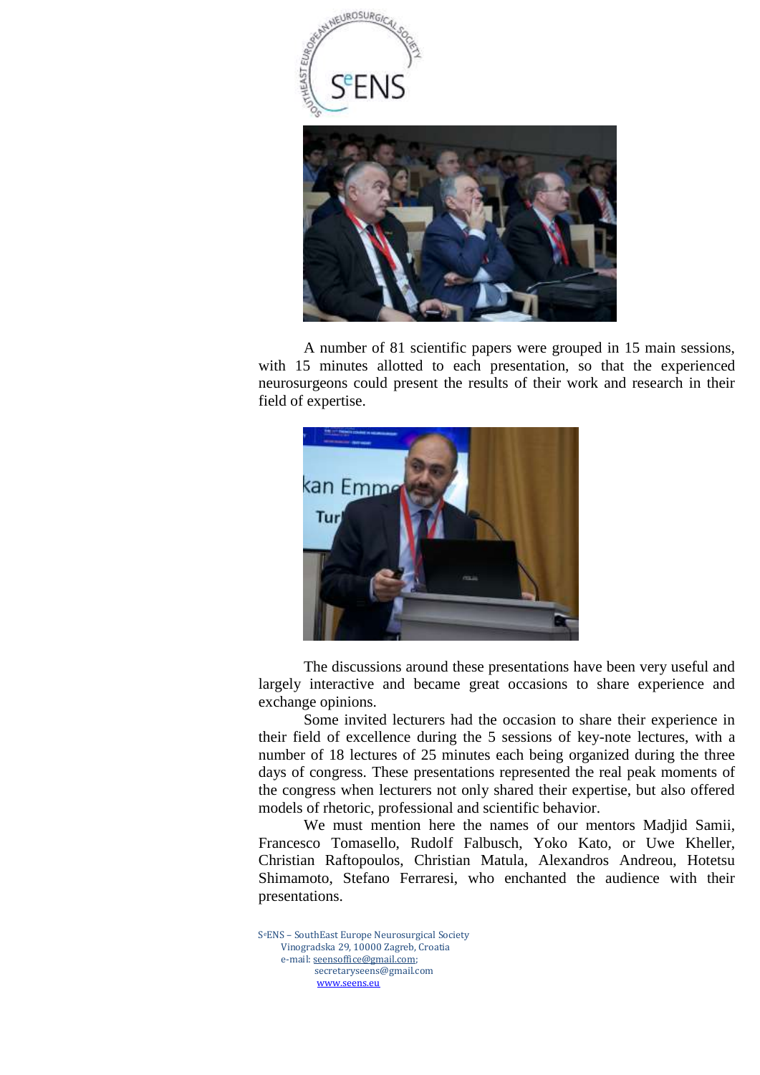

A number of 81 scientific papers were grouped in 15 main sessions, with 15 minutes allotted to each presentation, so that the experienced neurosurgeons could present the results of their work and research in their field of expertise.



The discussions around these presentations have been very useful and largely interactive and became great occasions to share experience and exchange opinions.

Some invited lecturers had the occasion to share their experience in their field of excellence during the 5 sessions of key-note lectures, with a number of 18 lectures of 25 minutes each being organized during the three days of congress. These presentations represented the real peak moments of the congress when lecturers not only shared their expertise, but also offered models of rhetoric, professional and scientific behavior.

We must mention here the names of our mentors Madjid Samii, Francesco Tomasello, Rudolf Falbusch, Yoko Kato, or Uwe Kheller, Christian Raftopoulos, Christian Matula, Alexandros Andreou, Hotetsu Shimamoto, Stefano Ferraresi, who enchanted the audience with their presentations.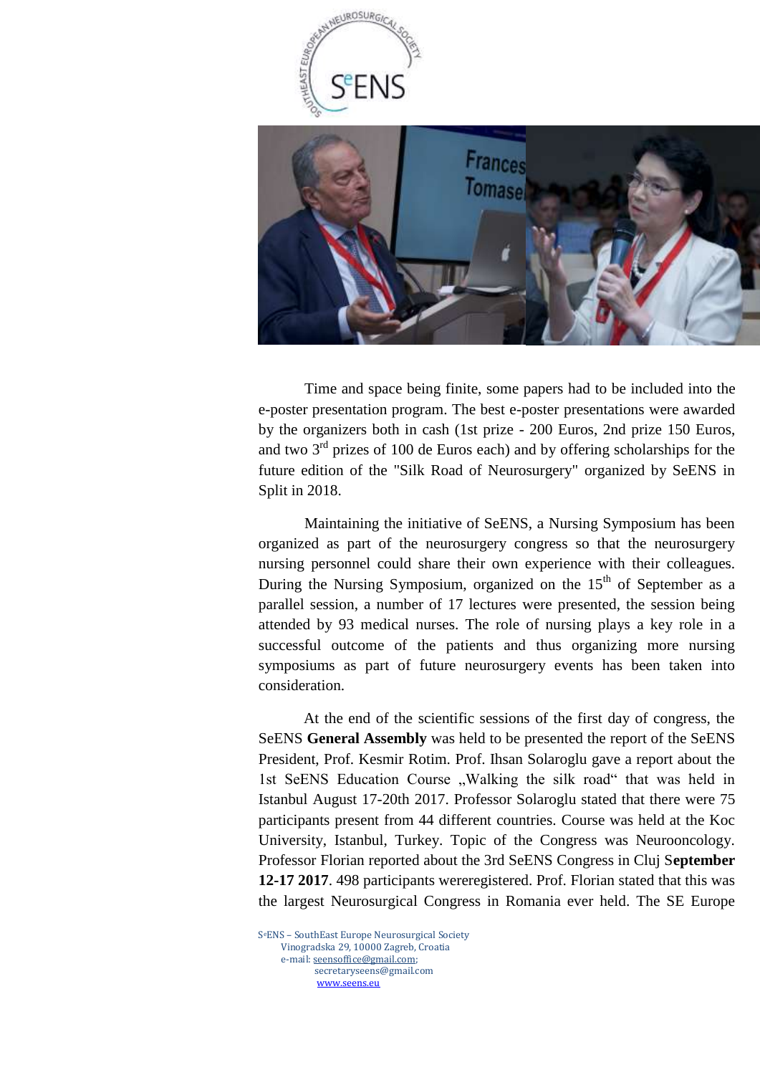

Time and space being finite, some papers had to be included into the e-poster presentation program. The best e-poster presentations were awarded by the organizers both in cash (1st prize - 200 Euros, 2nd prize 150 Euros, and two  $3<sup>rd</sup>$  prizes of 100 de Euros each) and by offering scholarships for the future edition of the "Silk Road of Neurosurgery" organized by SeENS in Split in 2018.

Maintaining the initiative of SeENS, a Nursing Symposium has been organized as part of the neurosurgery congress so that the neurosurgery nursing personnel could share their own experience with their colleagues. During the Nursing Symposium, organized on the  $15<sup>th</sup>$  of September as a parallel session, a number of 17 lectures were presented, the session being attended by 93 medical nurses. The role of nursing plays a key role in a successful outcome of the patients and thus organizing more nursing symposiums as part of future neurosurgery events has been taken into consideration.

At the end of the scientific sessions of the first day of congress, the SeENS **General Assembly** was held to be presented the report of the SeENS President, Prof. Kesmir Rotim. Prof. Ihsan Solaroglu gave a report about the 1st SeENS Education Course "Walking the silk road" that was held in Istanbul August 17-20th 2017. Professor Solaroglu stated that there were 75 participants present from 44 different countries. Course was held at the Koc University, Istanbul, Turkey. Topic of the Congress was Neurooncology. Professor Florian reported about the 3rd SeENS Congress in Cluj S**eptember 12-17 2017**. 498 participants wereregistered. Prof. Florian stated that this was the largest Neurosurgical Congress in Romania ever held. The SE Europe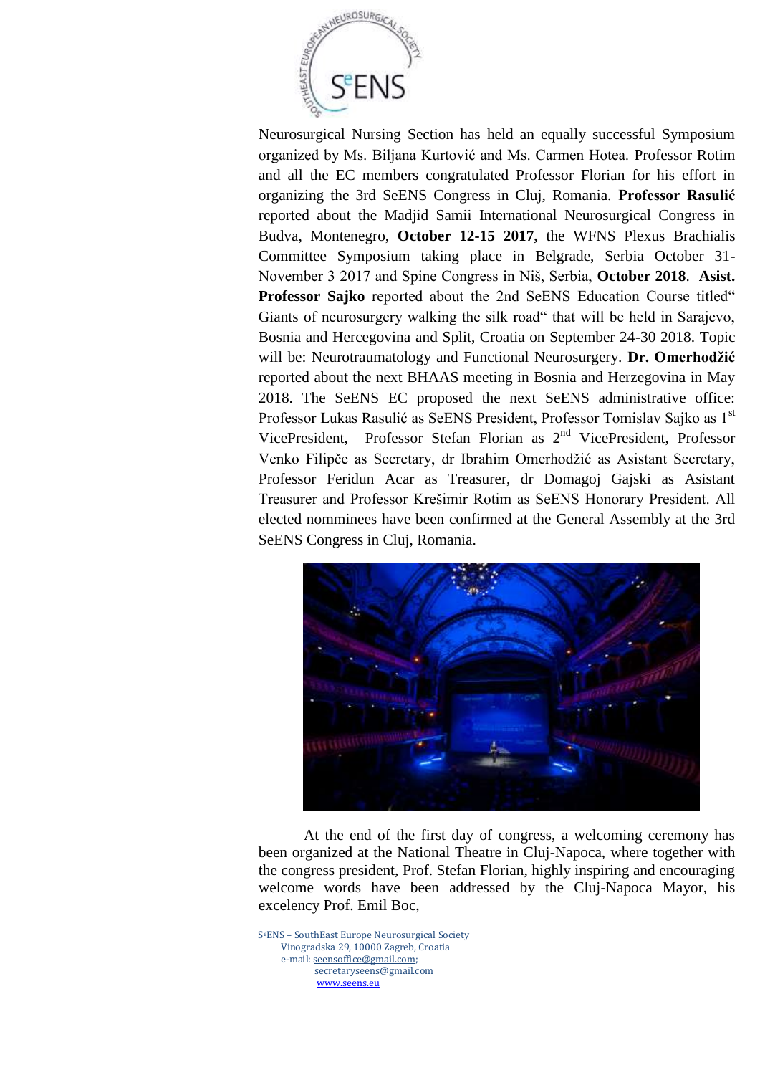

Neurosurgical Nursing Section has held an equally successful Symposium organized by Ms. Biljana Kurtović and Ms. Carmen Hotea. Professor Rotim and all the EC members congratulated Professor Florian for his effort in organizing the 3rd SeENS Congress in Cluj, Romania. **Professor Rasulić** reported about the Madjid Samii International Neurosurgical Congress in Budva, Montenegro, **October 12-15 2017,** the WFNS Plexus Brachialis Committee Symposium taking place in Belgrade, Serbia October 31- November 3 2017 and Spine Congress in Niš, Serbia, **October 2018**. **Asist. Professor Sajko** reported about the 2nd SeENS Education Course titled" Giants of neurosurgery walking the silk road" that will be held in Sarajevo, Bosnia and Hercegovina and Split, Croatia on September 24-30 2018. Topic will be: Neurotraumatology and Functional Neurosurgery. **Dr. Omerhodžić**  reported about the next BHAAS meeting in Bosnia and Herzegovina in May 2018. The SeENS EC proposed the next SeENS administrative office: Professor Lukas Rasulić as SeENS President, Professor Tomislav Sajko as 1<sup>st</sup> VicePresident, Professor Stefan Florian as 2nd VicePresident, Professor Venko Filipče as Secretary, dr Ibrahim Omerhodžić as Asistant Secretary, Professor Feridun Acar as Treasurer, dr Domagoj Gajski as Asistant Treasurer and Professor Krešimir Rotim as SeENS Honorary President. All elected nomminees have been confirmed at the General Assembly at the 3rd SeENS Congress in Cluj, Romania.



At the end of the first day of congress, a welcoming ceremony has been organized at the National Theatre in Cluj-Napoca, where together with the congress president, Prof. Stefan Florian, highly inspiring and encouraging welcome words have been addressed by the Cluj-Napoca Mayor, his excelency Prof. Emil Boc,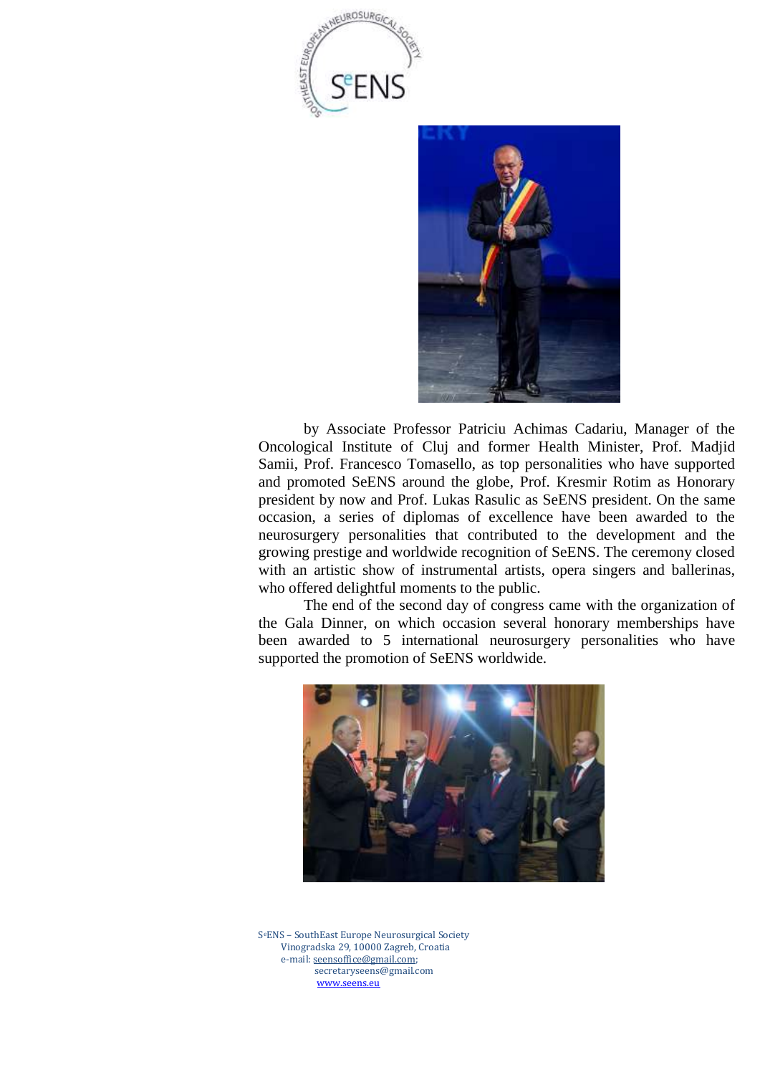



by Associate Professor Patriciu Achimas Cadariu, Manager of the Oncological Institute of Cluj and former Health Minister, Prof. Madjid Samii, Prof. Francesco Tomasello, as top personalities who have supported and promoted SeENS around the globe, Prof. Kresmir Rotim as Honorary president by now and Prof. Lukas Rasulic as SeENS president. On the same occasion, a series of diplomas of excellence have been awarded to the neurosurgery personalities that contributed to the development and the growing prestige and worldwide recognition of SeENS. The ceremony closed with an artistic show of instrumental artists, opera singers and ballerinas, who offered delightful moments to the public.

The end of the second day of congress came with the organization of the Gala Dinner, on which occasion several honorary memberships have been awarded to 5 international neurosurgery personalities who have supported the promotion of SeENS worldwide.